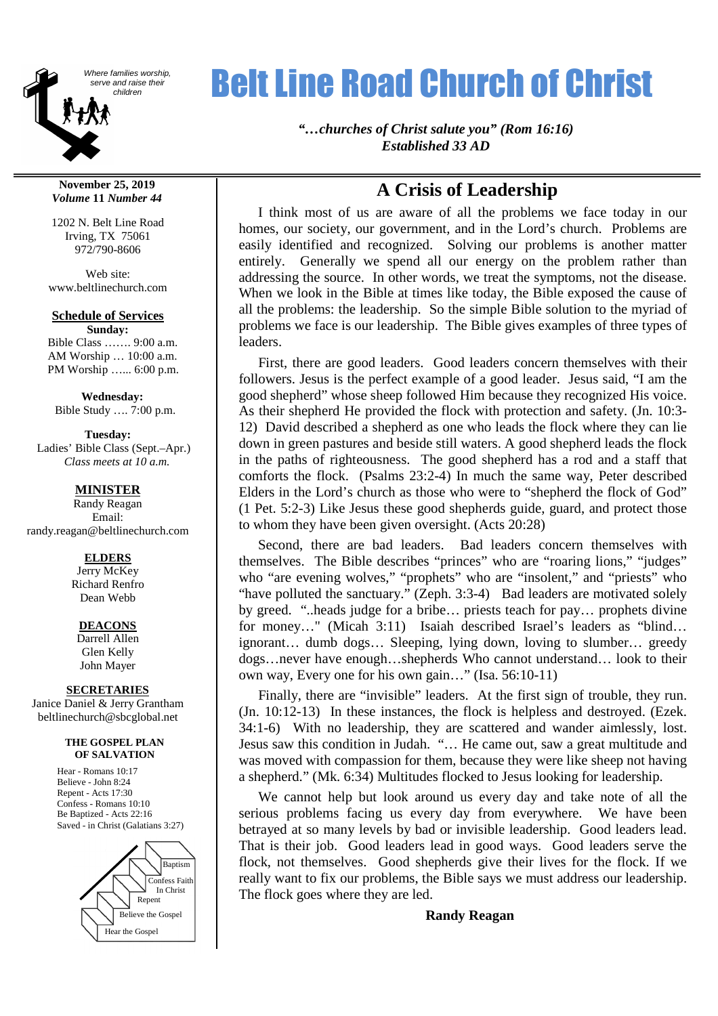

#### **November 25, 2019** *Volume* **11** *Number 44*

1202 N. Belt Line Road Irving, TX 75061 972/790-8606

Web site: www.beltlinechurch.com

#### **Schedule of Services**

**Sunday:** Bible Class ……. 9:00 a.m. AM Worship … 10:00 a.m. PM Worship …... 6:00 p.m.

**Wednesday:** Bible Study …. 7:00 p.m.

**Tuesday:** Ladies' Bible Class (Sept.–Apr.) *Class meets at 10 a.m.*

#### **MINISTER**

Randy Reagan Email: randy.reagan@beltlinechurch.com

#### **ELDERS**

Jerry McKey Richard Renfro Dean Webb

#### **DEACONS**

Darrell Allen Glen Kelly John Mayer

#### **SECRETARIES**

Janice Daniel & Jerry Grantham beltlinechurch@sbcglobal.net

#### **THE GOSPEL PLAN OF SALVATION**

Hear - Romans 10:17 Believe - John 8:24 Repent - Acts 17:30 Confess - Romans 10:10 Be Baptized - Acts 22:16 Saved - in Christ (Galatians 3:27)



# Where families worship, **Relt Line Road Church of Christ**

*"…churches of Christ salute you" (Rom 16:16) Established 33 AD*

## **A Crisis of Leadership**

I think most of us are aware of all the problems we face today in our homes, our society, our government, and in the Lord's church. Problems are easily identified and recognized. Solving our problems is another matter entirely. Generally we spend all our energy on the problem rather than addressing the source. In other words, we treat the symptoms, not the disease. When we look in the Bible at times like today, the Bible exposed the cause of all the problems: the leadership. So the simple Bible solution to the myriad of problems we face is our leadership. The Bible gives examples of three types of leaders.

First, there are good leaders. Good leaders concern themselves with their followers. Jesus is the perfect example of a good leader. Jesus said, "I am the good shepherd" whose sheep followed Him because they recognized His voice. As their shepherd He provided the flock with protection and safety. (Jn. 10:3- 12) David described a shepherd as one who leads the flock where they can lie down in green pastures and beside still waters. A good shepherd leads the flock in the paths of righteousness. The good shepherd has a rod and a staff that comforts the flock. (Psalms 23:2-4) In much the same way, Peter described Elders in the Lord's church as those who were to "shepherd the flock of God" (1 Pet. 5:2-3) Like Jesus these good shepherds guide, guard, and protect those to whom they have been given oversight. (Acts 20:28)

Second, there are bad leaders. Bad leaders concern themselves with themselves. The Bible describes "princes" who are "roaring lions," "judges" who "are evening wolves," "prophets" who are "insolent," and "priests" who "have polluted the sanctuary." (Zeph. 3:3-4) Bad leaders are motivated solely by greed. "..heads judge for a bribe… priests teach for pay… prophets divine for money…" (Micah 3:11) Isaiah described Israel's leaders as "blind… ignorant… dumb dogs… Sleeping, lying down, loving to slumber… greedy dogs…never have enough…shepherds Who cannot understand… look to their own way, Every one for his own gain…" (Isa. 56:10-11)

Finally, there are "invisible" leaders. At the first sign of trouble, they run. (Jn. 10:12-13) In these instances, the flock is helpless and destroyed. (Ezek. 34:1-6) With no leadership, they are scattered and wander aimlessly, lost. Jesus saw this condition in Judah. "… He came out, saw a great multitude and was moved with compassion for them, because they were like sheep not having a shepherd." (Mk. 6:34) Multitudes flocked to Jesus looking for leadership.

We cannot help but look around us every day and take note of all the serious problems facing us every day from everywhere. We have been betrayed at so many levels by bad or invisible leadership. Good leaders lead. That is their job. Good leaders lead in good ways. Good leaders serve the flock, not themselves. Good shepherds give their lives for the flock. If we really want to fix our problems, the Bible says we must address our leadership. The flock goes where they are led.

### **Randy Reagan**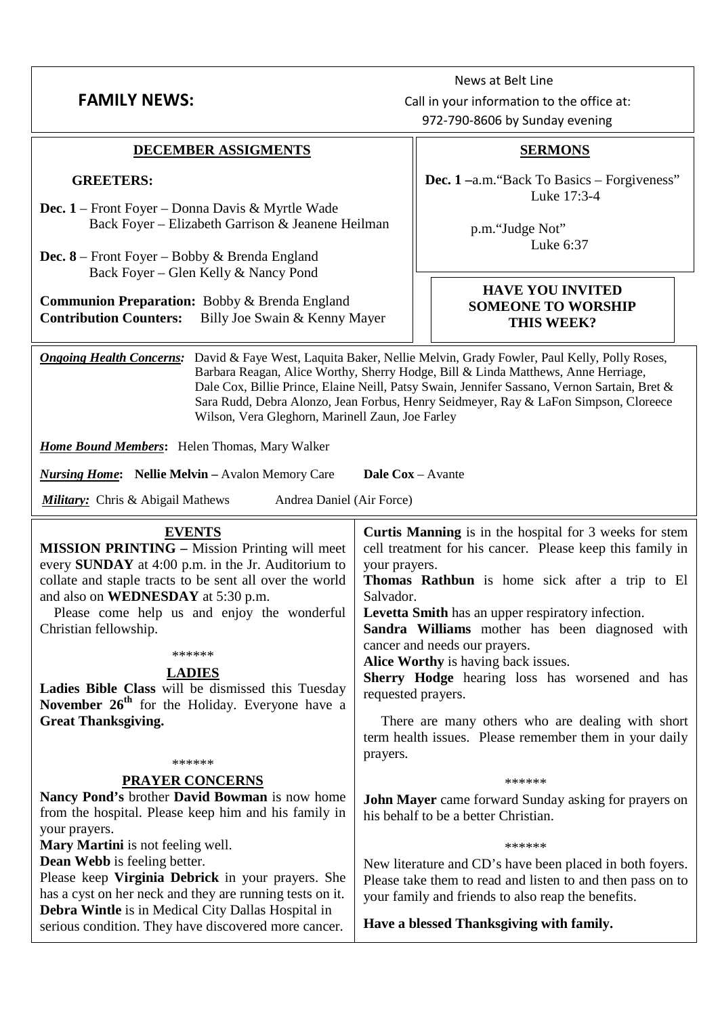| <b>FAMILY NEWS:</b>                                                                                                                                                                                                                                                                                                                                                                                                                                                                               | Call in your information to the office at:<br>972-790-8606 by Sunday evening                                                                                                                                                                                                                                                                                                                                                                                                                                                                                                                |  |  |  |  |
|---------------------------------------------------------------------------------------------------------------------------------------------------------------------------------------------------------------------------------------------------------------------------------------------------------------------------------------------------------------------------------------------------------------------------------------------------------------------------------------------------|---------------------------------------------------------------------------------------------------------------------------------------------------------------------------------------------------------------------------------------------------------------------------------------------------------------------------------------------------------------------------------------------------------------------------------------------------------------------------------------------------------------------------------------------------------------------------------------------|--|--|--|--|
| DECEMBER ASSIGMENTS                                                                                                                                                                                                                                                                                                                                                                                                                                                                               | <b>SERMONS</b>                                                                                                                                                                                                                                                                                                                                                                                                                                                                                                                                                                              |  |  |  |  |
| <b>GREETERS:</b>                                                                                                                                                                                                                                                                                                                                                                                                                                                                                  | Dec. 1-a.m. "Back To Basics - Forgiveness"<br>Luke 17:3-4                                                                                                                                                                                                                                                                                                                                                                                                                                                                                                                                   |  |  |  |  |
| Dec. 1 – Front Foyer – Donna Davis & Myrtle Wade<br>Back Foyer – Elizabeth Garrison & Jeanene Heilman                                                                                                                                                                                                                                                                                                                                                                                             | p.m."Judge Not"                                                                                                                                                                                                                                                                                                                                                                                                                                                                                                                                                                             |  |  |  |  |
| <b>Dec.</b> $8$ – Front Foyer – Bobby & Brenda England<br>Back Foyer – Glen Kelly & Nancy Pond                                                                                                                                                                                                                                                                                                                                                                                                    | Luke 6:37                                                                                                                                                                                                                                                                                                                                                                                                                                                                                                                                                                                   |  |  |  |  |
| <b>Communion Preparation:</b> Bobby & Brenda England<br><b>Contribution Counters:</b><br>Billy Joe Swain & Kenny Mayer                                                                                                                                                                                                                                                                                                                                                                            | <b>HAVE YOU INVITED</b><br><b>SOMEONE TO WORSHIP</b><br>THIS WEEK?                                                                                                                                                                                                                                                                                                                                                                                                                                                                                                                          |  |  |  |  |
| <b>Ongoing Health Concerns:</b><br>David & Faye West, Laquita Baker, Nellie Melvin, Grady Fowler, Paul Kelly, Polly Roses,<br>Barbara Reagan, Alice Worthy, Sherry Hodge, Bill & Linda Matthews, Anne Herriage,<br>Dale Cox, Billie Prince, Elaine Neill, Patsy Swain, Jennifer Sassano, Vernon Sartain, Bret &<br>Sara Rudd, Debra Alonzo, Jean Forbus, Henry Seidmeyer, Ray & LaFon Simpson, Cloreece<br>Wilson, Vera Gleghorn, Marinell Zaun, Joe Farley                                       |                                                                                                                                                                                                                                                                                                                                                                                                                                                                                                                                                                                             |  |  |  |  |
| <b>Home Bound Members:</b> Helen Thomas, Mary Walker                                                                                                                                                                                                                                                                                                                                                                                                                                              |                                                                                                                                                                                                                                                                                                                                                                                                                                                                                                                                                                                             |  |  |  |  |
| <b>Dale Cox</b> – Avante<br><b>Nursing Home:</b> Nellie Melvin – Avalon Memory Care                                                                                                                                                                                                                                                                                                                                                                                                               |                                                                                                                                                                                                                                                                                                                                                                                                                                                                                                                                                                                             |  |  |  |  |
| <b>Military:</b> Chris & Abigail Mathews<br>Andrea Daniel (Air Force)                                                                                                                                                                                                                                                                                                                                                                                                                             |                                                                                                                                                                                                                                                                                                                                                                                                                                                                                                                                                                                             |  |  |  |  |
| <b>EVENTS</b><br><b>MISSION PRINTING - Mission Printing will meet</b><br>every SUNDAY at 4:00 p.m. in the Jr. Auditorium to<br>collate and staple tracts to be sent all over the world<br>and also on <b>WEDNESDAY</b> at 5:30 p.m.<br>Please come help us and enjoy the wonderful<br>Christian fellowship.<br>******<br><b>LADIES</b><br>Ladies Bible Class will be dismissed this Tuesday<br>November 26 <sup>th</sup> for the Holiday. Everyone have a<br><b>Great Thanksgiving.</b><br>****** | <b>Curtis Manning</b> is in the hospital for 3 weeks for stem<br>cell treatment for his cancer. Please keep this family in<br>your prayers.<br>Thomas Rathbun is home sick after a trip to El<br>Salvador.<br>Levetta Smith has an upper respiratory infection.<br>Sandra Williams mother has been diagnosed with<br>cancer and needs our prayers.<br>Alice Worthy is having back issues.<br>Sherry Hodge hearing loss has worsened and has<br>requested prayers.<br>There are many others who are dealing with short<br>term health issues. Please remember them in your daily<br>prayers. |  |  |  |  |
| <b>PRAYER CONCERNS</b><br>Nancy Pond's brother David Bowman is now home<br>from the hospital. Please keep him and his family in<br>your prayers.<br>Mary Martini is not feeling well.<br><b>Dean Webb</b> is feeling better.<br>Please keep Virginia Debrick in your prayers. She<br>has a cyst on her neck and they are running tests on it.                                                                                                                                                     | ******<br><b>John Mayer</b> came forward Sunday asking for prayers on<br>his behalf to be a better Christian.<br>******<br>New literature and CD's have been placed in both foyers.<br>Please take them to read and listen to and then pass on to<br>your family and friends to also reap the benefits.                                                                                                                                                                                                                                                                                     |  |  |  |  |
| Debra Wintle is in Medical City Dallas Hospital in<br>serious condition. They have discovered more cancer.                                                                                                                                                                                                                                                                                                                                                                                        | Have a blessed Thanksgiving with family.                                                                                                                                                                                                                                                                                                                                                                                                                                                                                                                                                    |  |  |  |  |

News at Belt Line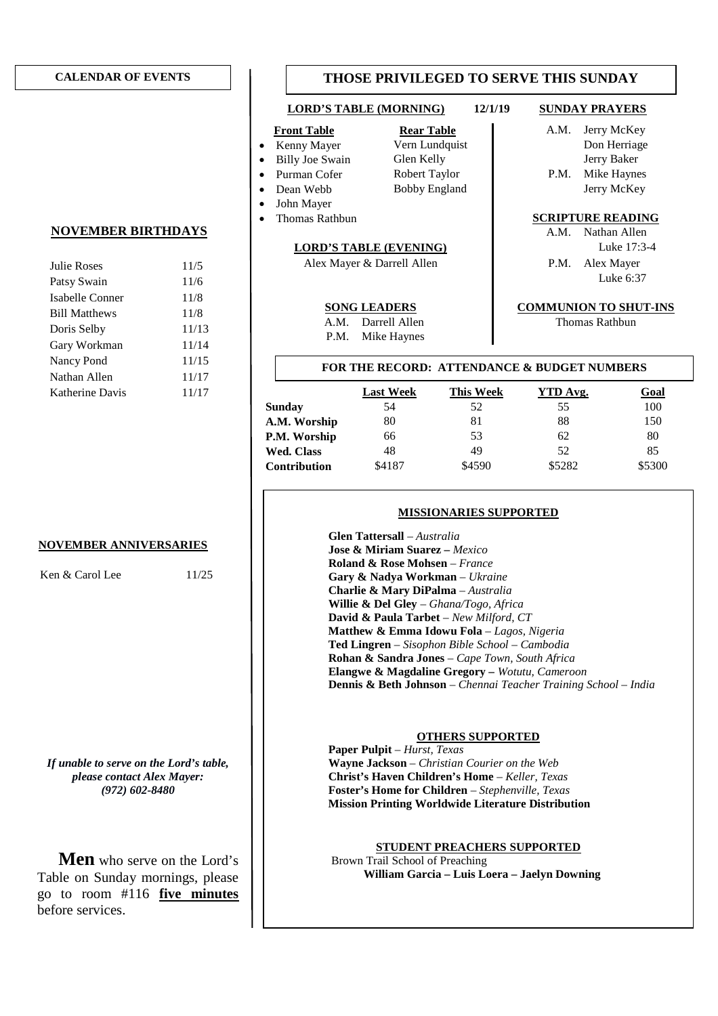#### **CALENDAR OF EVENTS**

#### **NOVEMBER BIRTHDAYS**

| Julie Roses          | 11/5  |
|----------------------|-------|
| Patsy Swain          | 11/6  |
| Isabelle Conner      | 11/8  |
| <b>Bill Matthews</b> | 11/8  |
| Doris Selby          | 11/13 |
| Gary Workman         | 11/14 |
| Nancy Pond           | 11/15 |
| Nathan Allen         | 11/17 |
| Katherine Davis      | 11/17 |
|                      |       |

#### **NOVEMBER ANNIVERSARIES**

Ken & Carol Lee 11/25

*If unable to serve on the Lord's table, please contact Alex Mayer: (972) 602-8480*

**Men** who serve on the Lord's Table on Sunday mornings, please go to room #116 **five minutes** before services.

### **THOSE PRIVILEGED TO SERVE THIS SUNDAY**

### **LORD'S TABLE (MORNING) 12/1/19 SUNDAY PRAYERS**

- 
- 
- 
- 
- 
- John Mayer<br>Thomas Rathbun

#### **LORD'S TABLE (EVENING)** Luke 17:3-4

Alex Mayer & Darrell Allen P.M. Alex Mayer

- A.M. Darrell Allen **Thomas Rathbun**
- 
- 
- 
- P.M. Mike Haynes
- 
- 
- 
- -

**Front Table Rear Table Rear Table A.M.** Jerry McKey Kenny Mayer Vern Lundquist Don Herriage Billy Joe Swain Glen Kelly Jerry Baker Purman Cofer Robert Taylor P.M. Mike Haynes Dean Webb Bobby England Jerry McKey

#### **SCRIPTURE READING**

A.M. Nathan Allen Luke 6:37

#### **SONG LEADERS COMMUNION TO SHUT-INS**

#### **FOR THE RECORD: ATTENDANCE & BUDGET NUMBERS**

|                     | <b>Last Week</b> | <b>This Week</b> | YTD Avg. | <b>Goal</b> |
|---------------------|------------------|------------------|----------|-------------|
| <b>Sunday</b>       | 54               | 52               | 55       | 100         |
| A.M. Worship        | 80               | 81               | 88       | 150         |
| P.M. Worship        | 66               | 53               | 62       | 80          |
| <b>Wed. Class</b>   | 48               | 49               | 52       | 85          |
| <b>Contribution</b> | \$4187           | \$4590           | \$5282   | \$5300      |

#### **MISSIONARIES SUPPORTED**

**Glen Tattersall** – *Australia* **Jose & Miriam Suarez –** *Mexico* **Roland & Rose Mohsen** – *France* **Gary & Nadya Workman** – *Ukraine* **Charlie & Mary DiPalma** – *Australia* **Willie & Del Gley** – *Ghana/Togo, Africa* **David & Paula Tarbet** – *New Milford, CT* **Matthew & Emma Idowu Fola** – *Lagos, Nigeria* **Ted Lingren** – *Sisophon Bible School* – *Cambodia* **Rohan & Sandra Jones** – *Cape Town, South Africa* **Elangwe & Magdaline Gregory –** *Wotutu, Cameroon* **Dennis & Beth Johnson** – *Chennai Teacher Training School – India*

#### **OTHERS SUPPORTED**

**Paper Pulpit** – *Hurst, Texas* **Wayne Jackson** – *Christian Courier on the Web* **Christ's Haven Children's Home** – *Keller, Texas* **Foster's Home for Children** – *Stephenville, Texas* **Mission Printing Worldwide Literature Distribution**

**STUDENT PREACHERS SUPPORTED** Brown Trail School of Preaching **William Garcia – Luis Loera – Jaelyn Downing**